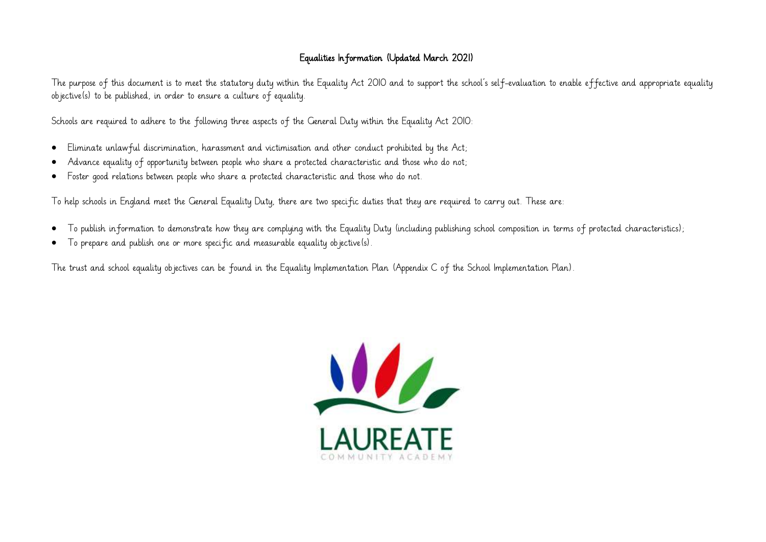## Equalities Information (Updated March 2021)

The purpose of this document is to meet the statutory duty within the Equality Act 2010 and to support the school's self-evaluation to enable effective and appropriate equality objective(s) to be published, in order to ensure a culture of equality.

Schools are required to adhere to the following three aspects of the General Duty within the Equality Act 2010:

- Eliminate unlawful discrimination, harassment and victimisation and other conduct prohibited by the Act;
- Advance equality of opportunity between people who share a protected characteristic and those who do not;
- Foster good relations between people who share a protected characteristic and those who do not.

To help schools in England meet the General Equality Duty, there are two specific duties that they are required to carry out. These are:

- To publish information to demonstrate how they are complying with the Equality Duty (including publishing school composition in terms of protected characteristics);
- To prepare and publish one or more specific and measurable equality objective(s).

The trust and school equality objectives can be found in the Equality Implementation Plan (Appendix C of the School Implementation Plan).

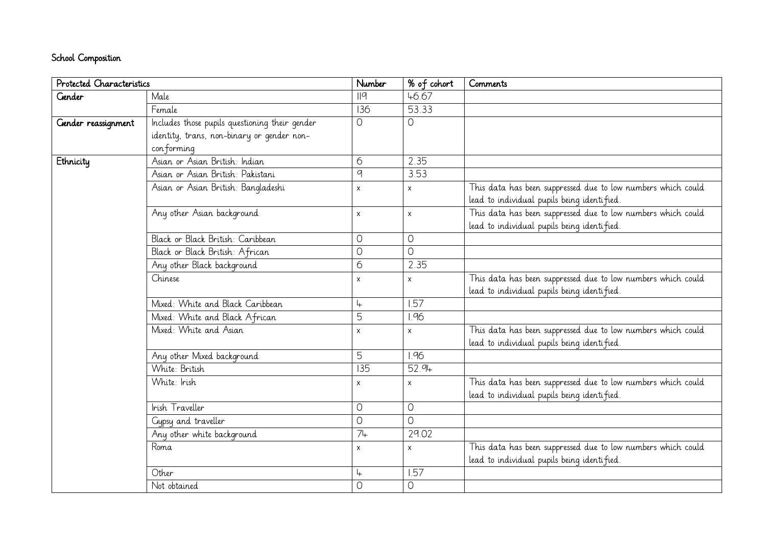## School Composition

| Protected Characteristics |                                                | Number           | % of cohort  | Comments                                                     |
|---------------------------|------------------------------------------------|------------------|--------------|--------------------------------------------------------------|
| <b>Gender</b>             | Male                                           | II9              | 46.67        |                                                              |
|                           | Female                                         | 136              | 53.33        |                                                              |
| Gender reassignment       | Includes those pupils questioning their gender | $\circ$          | 0            |                                                              |
|                           | identity, trans, non-binary or gender non-     |                  |              |                                                              |
|                           | conforming                                     |                  |              |                                                              |
| Ethnicity                 | Asian or Asian British: Indian                 | 6                | 2.35         |                                                              |
|                           | Asian or Asian British: Pakistani              | $\boldsymbol{q}$ | 3.53         |                                                              |
|                           | Asian or Asian British: Bangladeshi            | $\mathsf{x}$     | $\times$     | This data has been suppressed due to low numbers which could |
|                           |                                                |                  |              | lead to individual pupils being identified.                  |
|                           | Any other Asian background                     | $\pmb{\times}$   | X            | This data has been suppressed due to low numbers which could |
|                           |                                                |                  |              | lead to individual pupils being identified.                  |
|                           | Black or Black British: Caribbean              | $\circ$          | 0            |                                                              |
|                           | Black or Black British: African                | $\overline{O}$   | $\bigcap$    |                                                              |
|                           | Any other Black background                     | 6                | 2.35         |                                                              |
|                           | Chinese                                        | $\pmb{\times}$   | $\mathsf{x}$ | This data has been suppressed due to low numbers which could |
|                           |                                                |                  |              | lead to individual pupils being identified.                  |
|                           | Mixed: White and Black Caribbean               | $\downarrow$     | 1.57         |                                                              |
|                           | Mixed: White and Black African                 | $\overline{5}$   | 1.96         |                                                              |
|                           | Mixed: White and Asian                         | $\pmb{\times}$   | $\mathsf{x}$ | This data has been suppressed due to low numbers which could |
|                           |                                                |                  |              | lead to individual pupils being identified.                  |
|                           | Any other Mixed background                     | 5                | 1.96         |                                                              |
|                           | White: British                                 | 135              | 52.94        |                                                              |
|                           | White: Irish                                   | $\pmb{\times}$   | X            | This data has been suppressed due to low numbers which could |
|                           |                                                |                  |              | lead to individual pupils being identified.                  |
|                           | Irish Traveller                                | $\bigcirc$       | $\circ$      |                                                              |
|                           | Gypsy and traveller                            | $\circ$          | $\bigcap$    |                                                              |
|                           | Any other white background                     | $\overline{7}$   | 29.02        |                                                              |
|                           | Roma                                           | X                | $\times$     | This data has been suppressed due to low numbers which could |
|                           |                                                |                  |              | lead to individual pupils being identified.                  |
|                           | Other                                          | 4                | 1.57         |                                                              |
|                           | Not obtained                                   | $\overline{O}$   | 0            |                                                              |